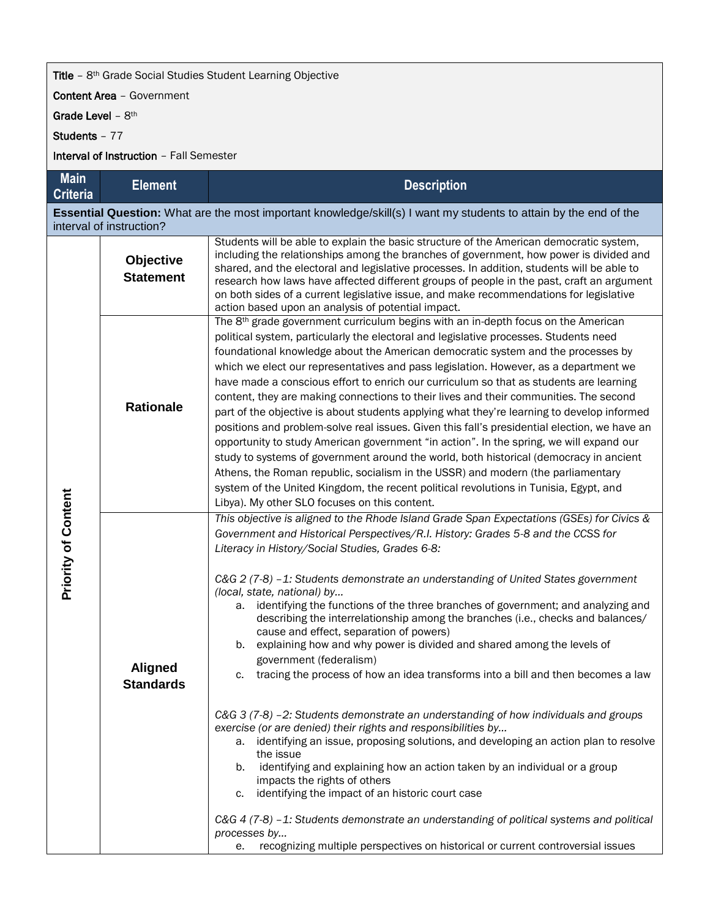## Title – 8<sup>th</sup> Grade Social Studies Student Learning Objective

Content Area – Government

Grade Level - 8<sup>th</sup>

Students – 77

Interval of Instruction – Fall Semester

| <b>Main</b><br><b>Criteria</b>                                                                                                                | <b>Element</b>                     | <b>Description</b>                                                                                                                                                                                                                                                                                                                                                                                                                                                                                                                                                                                                                                                                                                                                                                                                                                                                                                                                                                                                                                                                                                                                                                                                                                                                                                                                                                                                               |  |  |  |
|-----------------------------------------------------------------------------------------------------------------------------------------------|------------------------------------|----------------------------------------------------------------------------------------------------------------------------------------------------------------------------------------------------------------------------------------------------------------------------------------------------------------------------------------------------------------------------------------------------------------------------------------------------------------------------------------------------------------------------------------------------------------------------------------------------------------------------------------------------------------------------------------------------------------------------------------------------------------------------------------------------------------------------------------------------------------------------------------------------------------------------------------------------------------------------------------------------------------------------------------------------------------------------------------------------------------------------------------------------------------------------------------------------------------------------------------------------------------------------------------------------------------------------------------------------------------------------------------------------------------------------------|--|--|--|
| Essential Question: What are the most important knowledge/skill(s) I want my students to attain by the end of the<br>interval of instruction? |                                    |                                                                                                                                                                                                                                                                                                                                                                                                                                                                                                                                                                                                                                                                                                                                                                                                                                                                                                                                                                                                                                                                                                                                                                                                                                                                                                                                                                                                                                  |  |  |  |
| <b>Priority of Content</b>                                                                                                                    | Objective<br><b>Statement</b>      | Students will be able to explain the basic structure of the American democratic system,<br>including the relationships among the branches of government, how power is divided and<br>shared, and the electoral and legislative processes. In addition, students will be able to<br>research how laws have affected different groups of people in the past, craft an argument<br>on both sides of a current legislative issue, and make recommendations for legislative<br>action based upon an analysis of potential impact.                                                                                                                                                                                                                                                                                                                                                                                                                                                                                                                                                                                                                                                                                                                                                                                                                                                                                                     |  |  |  |
|                                                                                                                                               | <b>Rationale</b>                   | The 8 <sup>th</sup> grade government curriculum begins with an in-depth focus on the American<br>political system, particularly the electoral and legislative processes. Students need<br>foundational knowledge about the American democratic system and the processes by<br>which we elect our representatives and pass legislation. However, as a department we<br>have made a conscious effort to enrich our curriculum so that as students are learning<br>content, they are making connections to their lives and their communities. The second<br>part of the objective is about students applying what they're learning to develop informed<br>positions and problem-solve real issues. Given this fall's presidential election, we have an<br>opportunity to study American government "in action". In the spring, we will expand our<br>study to systems of government around the world, both historical (democracy in ancient<br>Athens, the Roman republic, socialism in the USSR) and modern (the parliamentary<br>system of the United Kingdom, the recent political revolutions in Tunisia, Egypt, and<br>Libya). My other SLO focuses on this content.                                                                                                                                                                                                                                                           |  |  |  |
|                                                                                                                                               | <b>Aligned</b><br><b>Standards</b> | This objective is aligned to the Rhode Island Grade Span Expectations (GSEs) for Civics &<br>Government and Historical Perspectives/R.I. History: Grades 5-8 and the CCSS for<br>Literacy in History/Social Studies, Grades 6-8:<br>C&G 2 (7-8) -1: Students demonstrate an understanding of United States government<br>(local, state, national) by<br>identifying the functions of the three branches of government; and analyzing and<br>а.<br>describing the interrelationship among the branches (i.e., checks and balances/<br>cause and effect, separation of powers)<br>explaining how and why power is divided and shared among the levels of<br>b.<br>government (federalism)<br>c. tracing the process of how an idea transforms into a bill and then becomes a law<br>C&G 3 (7-8) -2: Students demonstrate an understanding of how individuals and groups<br>exercise (or are denied) their rights and responsibilities by<br>a. identifying an issue, proposing solutions, and developing an action plan to resolve<br>the issue<br>identifying and explaining how an action taken by an individual or a group<br>b.<br>impacts the rights of others<br>identifying the impact of an historic court case<br>c.<br>C&G 4 (7-8) -1: Students demonstrate an understanding of political systems and political<br>processes by<br>recognizing multiple perspectives on historical or current controversial issues<br>е. |  |  |  |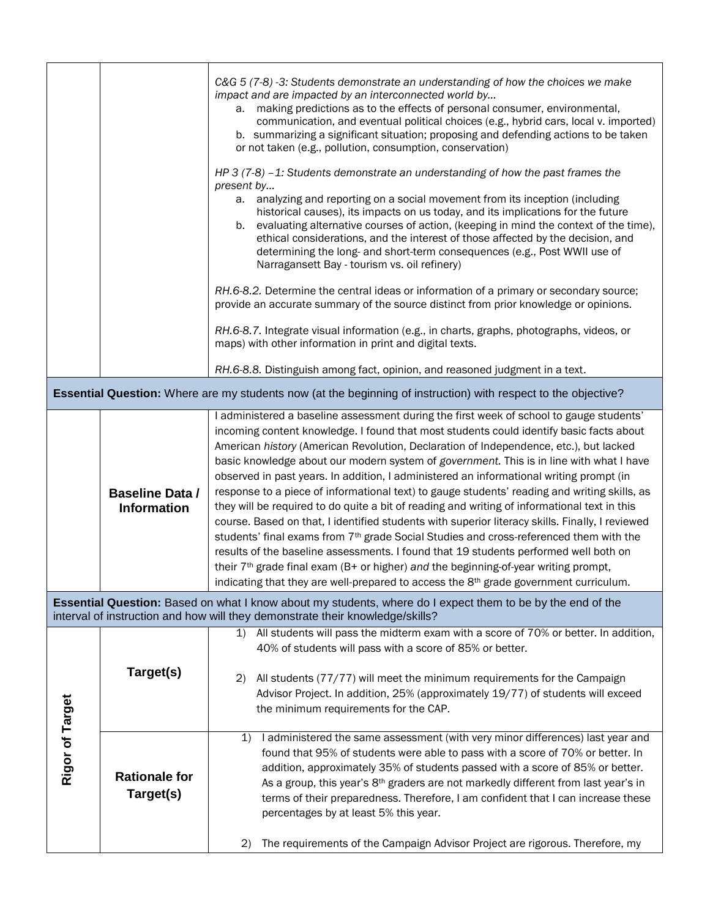|                                                                                                                                                                                             |                                              | C&G 5 (7-8) -3: Students demonstrate an understanding of how the choices we make<br>impact and are impacted by an interconnected world by<br>making predictions as to the effects of personal consumer, environmental,<br>а.<br>communication, and eventual political choices (e.g., hybrid cars, local v. imported)<br>b. summarizing a significant situation; proposing and defending actions to be taken<br>or not taken (e.g., pollution, consumption, conservation)<br>HP 3 (7-8) $-1$ : Students demonstrate an understanding of how the past frames the                                                                                                                                                                                                                                                                                                                                                                                                                                                                                                                                                                                                             |  |  |
|---------------------------------------------------------------------------------------------------------------------------------------------------------------------------------------------|----------------------------------------------|----------------------------------------------------------------------------------------------------------------------------------------------------------------------------------------------------------------------------------------------------------------------------------------------------------------------------------------------------------------------------------------------------------------------------------------------------------------------------------------------------------------------------------------------------------------------------------------------------------------------------------------------------------------------------------------------------------------------------------------------------------------------------------------------------------------------------------------------------------------------------------------------------------------------------------------------------------------------------------------------------------------------------------------------------------------------------------------------------------------------------------------------------------------------------|--|--|
|                                                                                                                                                                                             |                                              | present by<br>a. analyzing and reporting on a social movement from its inception (including<br>historical causes), its impacts on us today, and its implications for the future<br>evaluating alternative courses of action, (keeping in mind the context of the time),<br>b.<br>ethical considerations, and the interest of those affected by the decision, and<br>determining the long- and short-term consequences (e.g., Post WWII use of<br>Narragansett Bay - tourism vs. oil refinery)                                                                                                                                                                                                                                                                                                                                                                                                                                                                                                                                                                                                                                                                              |  |  |
|                                                                                                                                                                                             |                                              | RH.6-8.2. Determine the central ideas or information of a primary or secondary source;<br>provide an accurate summary of the source distinct from prior knowledge or opinions.                                                                                                                                                                                                                                                                                                                                                                                                                                                                                                                                                                                                                                                                                                                                                                                                                                                                                                                                                                                             |  |  |
|                                                                                                                                                                                             |                                              | RH.6-8.7. Integrate visual information (e.g., in charts, graphs, photographs, videos, or<br>maps) with other information in print and digital texts.                                                                                                                                                                                                                                                                                                                                                                                                                                                                                                                                                                                                                                                                                                                                                                                                                                                                                                                                                                                                                       |  |  |
|                                                                                                                                                                                             |                                              | RH.6-8.8. Distinguish among fact, opinion, and reasoned judgment in a text.                                                                                                                                                                                                                                                                                                                                                                                                                                                                                                                                                                                                                                                                                                                                                                                                                                                                                                                                                                                                                                                                                                |  |  |
| <b>Essential Question:</b> Where are my students now (at the beginning of instruction) with respect to the objective?                                                                       |                                              |                                                                                                                                                                                                                                                                                                                                                                                                                                                                                                                                                                                                                                                                                                                                                                                                                                                                                                                                                                                                                                                                                                                                                                            |  |  |
|                                                                                                                                                                                             | <b>Baseline Data /</b><br><b>Information</b> | I administered a baseline assessment during the first week of school to gauge students'<br>incoming content knowledge. I found that most students could identify basic facts about<br>American history (American Revolution, Declaration of Independence, etc.), but lacked<br>basic knowledge about our modern system of government. This is in line with what I have<br>observed in past years. In addition, I administered an informational writing prompt (in<br>response to a piece of informational text) to gauge students' reading and writing skills, as<br>they will be required to do quite a bit of reading and writing of informational text in this<br>course. Based on that, I identified students with superior literacy skills. Finally, I reviewed<br>students' final exams from 7 <sup>th</sup> grade Social Studies and cross-referenced them with the<br>results of the baseline assessments. I found that 19 students performed well both on<br>their 7 <sup>th</sup> grade final exam (B+ or higher) and the beginning-of-year writing prompt,<br>indicating that they are well-prepared to access the 8 <sup>th</sup> grade government curriculum. |  |  |
| Essential Question: Based on what I know about my students, where do I expect them to be by the end of the<br>interval of instruction and how will they demonstrate their knowledge/skills? |                                              |                                                                                                                                                                                                                                                                                                                                                                                                                                                                                                                                                                                                                                                                                                                                                                                                                                                                                                                                                                                                                                                                                                                                                                            |  |  |
| Rigor of Target                                                                                                                                                                             | Target(s)                                    | 1) All students will pass the midterm exam with a score of 70% or better. In addition,<br>40% of students will pass with a score of 85% or better.<br>All students (77/77) will meet the minimum requirements for the Campaign<br>2)<br>Advisor Project. In addition, 25% (approximately 19/77) of students will exceed<br>the minimum requirements for the CAP.                                                                                                                                                                                                                                                                                                                                                                                                                                                                                                                                                                                                                                                                                                                                                                                                           |  |  |
|                                                                                                                                                                                             | <b>Rationale for</b><br>Target(s)            | I administered the same assessment (with very minor differences) last year and<br>1)<br>found that 95% of students were able to pass with a score of 70% or better. In<br>addition, approximately 35% of students passed with a score of 85% or better.<br>As a group, this year's 8 <sup>th</sup> graders are not markedly different from last year's in<br>terms of their preparedness. Therefore, I am confident that I can increase these<br>percentages by at least 5% this year.<br>The requirements of the Campaign Advisor Project are rigorous. Therefore, my<br>2)                                                                                                                                                                                                                                                                                                                                                                                                                                                                                                                                                                                               |  |  |